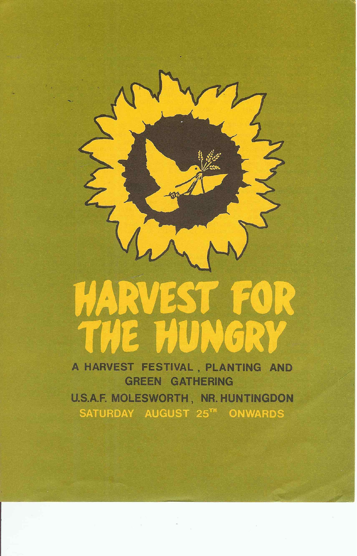

# GREEN GATHERING U.S.A.F. MOLESWORTH, NR. HUNTINGDON SATURDAY AUGUST 25TH ONWARDS